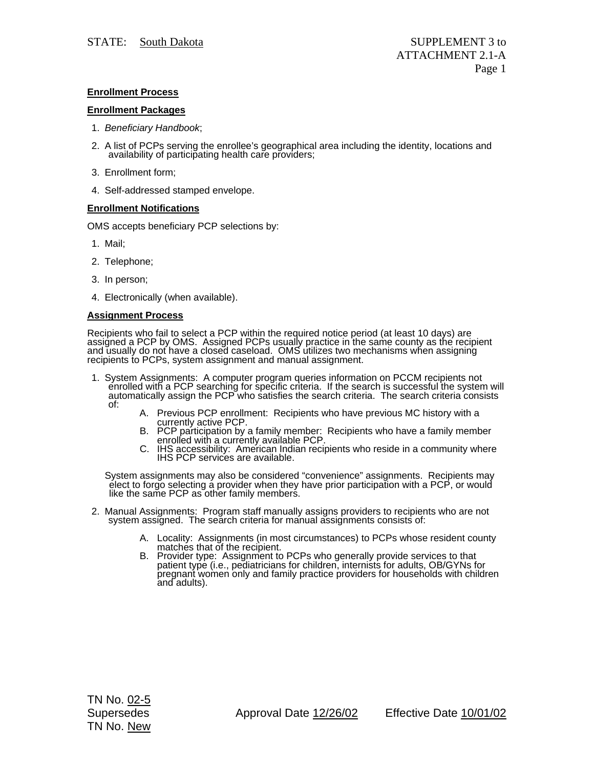# **Enrollment Process**

## **Enrollment Packages**

- 1. *Beneficiary Handbook*;
- 2. A list of PCPs serving the enrollee's geographical area including the identity, locations and availability of participating health care providers;
- 3. Enrollment form;
- 4. Self-addressed stamped envelope.

## **Enrollment Notifications**

OMS accepts beneficiary PCP selections by:

- 1. Mail;
- 2. Telephone;
- 3. In person;
- 4. Electronically (when available).

## **Assignment Process**

Recipients who fail to select a PCP within the required notice period (at least 10 days) are assigned a PCP by OMS. Assigned PCPs usually practice in the same county as the recipient and usually do not have a closed caseload. OMS utilizes two mechanisms when assigning<br>recipients to PCPs, system assignment and manual assignment.

- 1. System Assignments: A computer program queries information on PCCM recipients not enrolled with a PCP searching for specific criteria. If the search is successful the system will automatically assign the PCP who satisfi of:
	-
	- A. Previous PCP enrollment: Recipients who have previous MC history with a currently active PCP.<br>B. PCP participation by a family member: Recipients who have a family member<br>enrolled with a currently available PCP.
	- enrolled with a currently available PCP. C. IHS accessibility: American Indian recipients who reside in a community where IHS PCP services are available.

System assignments may also be considered "convenience" assignments. Recipients may elect to forgo selecting a provider when they have prior participation with a PCP, or would like the same PCP as other family members.

- 2. Manual Assignments: Program staff manually assigns providers to recipients who are not system assigned. The search criteria for manual assignments consists of:
	- A. Locality: Assignments (in most circumstances) to PCPs whose resident county<br>matches that of the recipient.<br>B. Provider type: Assignment to PCPs who generally provide services to that<br>patient type (i.e., pediatricians fo
	- pregnant women only and family practice providers for households with children and adults).